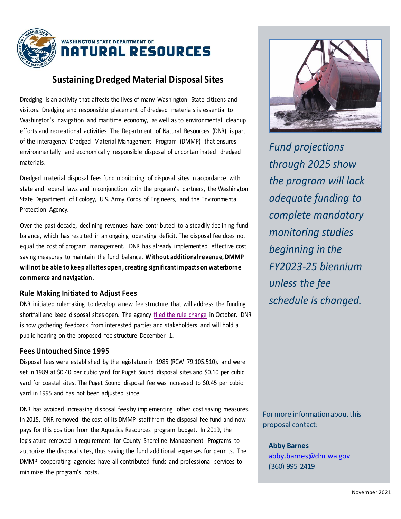

## **Sustaining Dredged Material Disposal Sites**

Dredging is an activity that affects the lives of many Washington State citizens and visitors. Dredging and responsible placement of dredged materials is essential to Washington's navigation and maritime economy, as well as to environmental cleanup efforts and recreational activities. The Department of Natural Resources (DNR) is part of the interagency Dredged Material Management Program (DMMP) that ensures environmentally and economically responsible disposal of uncontaminated dredged materials.

Dredged material disposal fees fund monitoring of disposal sites in accordance with state and federal laws and in conjunction with the program's partners, the Washington State Department of Ecology, U.S. Army Corps of Engineers, and the Environmental Protection Agency.

Over the past decade, declining revenues have contributed to a steadily declining fund balance, which has resulted in an ongoing operating deficit. The disposal fee does not equal the cost of program management. DNR has already implemented effective cost saving measures to maintain the fund balance. **Without additional revenue, DMMP will not be able to keep all sites open, creating significant impacts on waterborne commerce and navigation.**

## **Rule Making Initiated to Adjust Fees**

DNR initiated rulemaking to develop a new fee structure that will address the funding shortfall and keep disposal sites open. The agency [filed the rule change](https://gcc02.safelinks.protection.outlook.com/?url=https%3A%2F%2Fwww.dnr.wa.gov%2Frule-making&data=04%7C01%7CJoe.Smillie%40dnr.wa.gov%7Cb725cddc80104cb8faab08d9941ec243%7C11d0e217264e400a8ba057dcc127d72d%7C0%7C0%7C637703682087327666%7CUnknown%7CTWFpbGZsb3d8eyJWIjoiMC4wLjAwMDAiLCJQIjoiV2luMzIiLCJBTiI6Ik1haWwiLCJXVCI6Mn0%3D%7C1000&sdata=7gA5bTFpcY0%2FMGRqOIXBMH7GuuN48S0lw32MOQhguQA%3D&reserved=0) in October. DNR is now gathering feedback from interested parties and stakeholders and will hold a public hearing on the proposed fee structure December 1.

## **Fees Untouched Since 1995**

Disposal fees were established by the legislature in 1985 (RCW 79.105.510), and were set in 1989 at \$0.40 per cubic yard for Puget Sound disposal sites and \$0.10 per cubic yard for coastal sites. The Puget Sound disposal fee was increased to \$0.45 per cubic yard in 1995 and has not been adjusted since.

DNR has avoided increasing disposal fees by implementing other cost saving measures. In 2015, DNR removed the cost of its DMMP staff from the disposal fee fund and now pays for this position from the Aquatics Resources program budget. In 2019, the legislature removed a requirement for County Shoreline Management Programs to authorize the disposal sites, thus saving the fund additional expenses for permits. The DMMP cooperating agencies have all contributed funds and professional services to minimize the program's costs.



*Fund projections through 2025 show the program will lack adequate funding to complete mandatory monitoring studies beginning in the FY2023-25 biennium unless the fee schedule is changed.*

For more information about this proposal contact:

**Abby Barnes** [abby.barnes@dnr.wa.gov](mailto:abby.barnes@dnr.wa.gov) (360) 995 2419